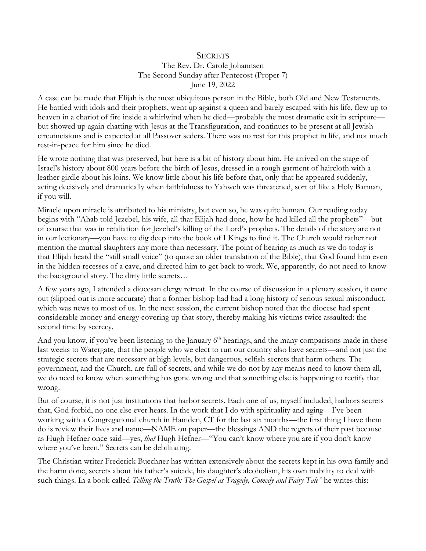## **SECRETS** The Rev. Dr. Carole Johannsen The Second Sunday after Pentecost (Proper 7) June 19, 2022

A case can be made that Elijah is the most ubiquitous person in the Bible, both Old and New Testaments. He battled with idols and their prophets, went up against a queen and barely escaped with his life, flew up to heaven in a chariot of fire inside a whirlwind when he died—probably the most dramatic exit in scripture but showed up again chatting with Jesus at the Transfiguration, and continues to be present at all Jewish circumcisions and is expected at all Passover seders. There was no rest for this prophet in life, and not much rest-in-peace for him since he died.

He wrote nothing that was preserved, but here is a bit of history about him. He arrived on the stage of Israel's history about 800 years before the birth of Jesus, dressed in a rough garment of haircloth with a leather girdle about his loins. We know little about his life before that, only that he appeared suddenly, acting decisively and dramatically when faithfulness to Yahweh was threatened, sort of like a Holy Batman, if you will.

Miracle upon miracle is attributed to his ministry, but even so, he was quite human. Our reading today begins with "Ahab told Jezebel, his wife, all that Elijah had done, how he had killed all the prophets"—but of course that was in retaliation for Jezebel's killing of the Lord's prophets. The details of the story are not in our lectionary—you have to dig deep into the book of I Kings to find it. The Church would rather not mention the mutual slaughters any more than necessary. The point of hearing as much as we do today is that Elijah heard the "still small voice" (to quote an older translation of the Bible), that God found him even in the hidden recesses of a cave, and directed him to get back to work. We, apparently, do not need to know the background story. The dirty little secrets…

A few years ago, I attended a diocesan clergy retreat. In the course of discussion in a plenary session, it came out (slipped out is more accurate) that a former bishop had had a long history of serious sexual misconduct, which was news to most of us. In the next session, the current bishop noted that the diocese had spent considerable money and energy covering up that story, thereby making his victims twice assaulted: the second time by secrecy.

And you know, if you've been listening to the January  $6<sup>th</sup>$  hearings, and the many comparisons made in these last weeks to Watergate, that the people who we elect to run our country also have secrets—and not just the strategic secrets that are necessary at high levels, but dangerous, selfish secrets that harm others. The government, and the Church, are full of secrets, and while we do not by any means need to know them all, we do need to know when something has gone wrong and that something else is happening to rectify that wrong.

But of course, it is not just institutions that harbor secrets. Each one of us, myself included, harbors secrets that, God forbid, no one else ever hears. In the work that I do with spirituality and aging—I've been working with a Congregational church in Hamden, CT for the last six months—the first thing I have them do is review their lives and name—NAME on paper—the blessings AND the regrets of their past because as Hugh Hefner once said—yes, *that* Hugh Hefner—"You can't know where you are if you don't know where you've been." Secrets can be debilitating.

The Christian writer Frederick Buechner has written extensively about the secrets kept in his own family and the harm done, secrets about his father's suicide, his daughter's alcoholism, his own inability to deal with such things. In a book called *Telling the Truth: The Gospel as Tragedy, Comedy and Fairy Tale"* he writes this: